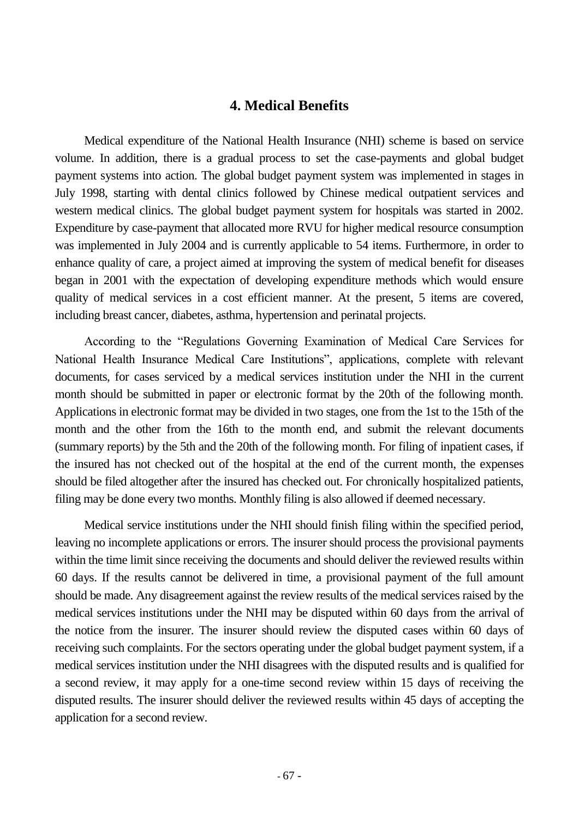### **4. Medical Benefits**

Medical expenditure of the National Health Insurance (NHI) scheme is based on service volume. In addition, there is a gradual process to set the case-payments and global budget payment systems into action. The global budget payment system was implemented in stages in July 1998, starting with dental clinics followed by Chinese medical outpatient services and western medical clinics. The global budget payment system for hospitals was started in 2002. Expenditure by case-payment that allocated more RVU for higher medical resource consumption was implemented in July 2004 and is currently applicable to 54 items. Furthermore, in order to enhance quality of care, a project aimed at improving the system of medical benefit for diseases began in 2001 with the expectation of developing expenditure methods which would ensure quality of medical services in a cost efficient manner. At the present, 5 items are covered, including breast cancer, diabetes, asthma, hypertension and perinatal projects.

According to the "Regulations Governing Examination of Medical Care Services for National Health Insurance Medical Care Institutions", applications, complete with relevant documents, for cases serviced by a medical services institution under the NHI in the current month should be submitted in paper or electronic format by the 20th of the following month. Applications in electronic format may be divided in two stages, one from the 1st to the 15th of the month and the other from the 16th to the month end, and submit the relevant documents (summary reports) by the 5th and the 20th of the following month. For filing of inpatient cases, if the insured has not checked out of the hospital at the end of the current month, the expenses should be filed altogether after the insured has checked out. For chronically hospitalized patients, filing may be done every two months. Monthly filing is also allowed if deemed necessary.

Medical service institutions under the NHI should finish filing within the specified period, leaving no incomplete applications or errors. The insurer should process the provisional payments within the time limit since receiving the documents and should deliver the reviewed results within 60 days. If the results cannot be delivered in time, a provisional payment of the full amount should be made. Any disagreement against the review results of the medical services raised by the medical services institutions under the NHI may be disputed within 60 days from the arrival of the notice from the insurer. The insurer should review the disputed cases within 60 days of receiving such complaints. For the sectors operating under the global budget payment system, if a medical services institution under the NHI disagrees with the disputed results and is qualified for a second review, it may apply for a one-time second review within 15 days of receiving the disputed results. The insurer should deliver the reviewed results within 45 days of accepting the application for a second review.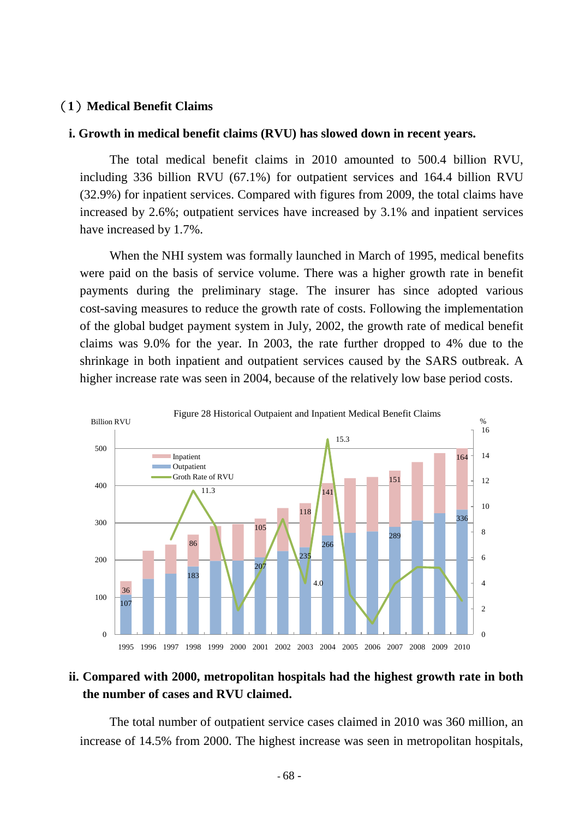### (**1**)**Medical Benefit Claims**

#### **i. Growth in medical benefit claims (RVU) has slowed down in recent years.**

The total medical benefit claims in 2010 amounted to 500.4 billion RVU, including 336 billion RVU (67.1%) for outpatient services and 164.4 billion RVU (32.9%) for inpatient services. Compared with figures from 2009, the total claims have increased by 2.6%; outpatient services have increased by 3.1% and inpatient services have increased by 1.7%.

When the NHI system was formally launched in March of 1995, medical benefits were paid on the basis of service volume. There was a higher growth rate in benefit payments during the preliminary stage. The insurer has since adopted various cost-saving measures to reduce the growth rate of costs. Following the implementation of the global budget payment system in July, 2002, the growth rate of medical benefit claims was 9.0% for the year. In 2003, the rate further dropped to 4% due to the shrinkage in both inpatient and outpatient services caused by the SARS outbreak. A higher increase rate was seen in 2004, because of the relatively low base period costs.



## **ii. Compared with 2000, metropolitan hospitals had the highest growth rate in both the number of cases and RVU claimed.**

The total number of outpatient service cases claimed in 2010 was 360 million, an increase of 14.5% from 2000. The highest increase was seen in metropolitan hospitals,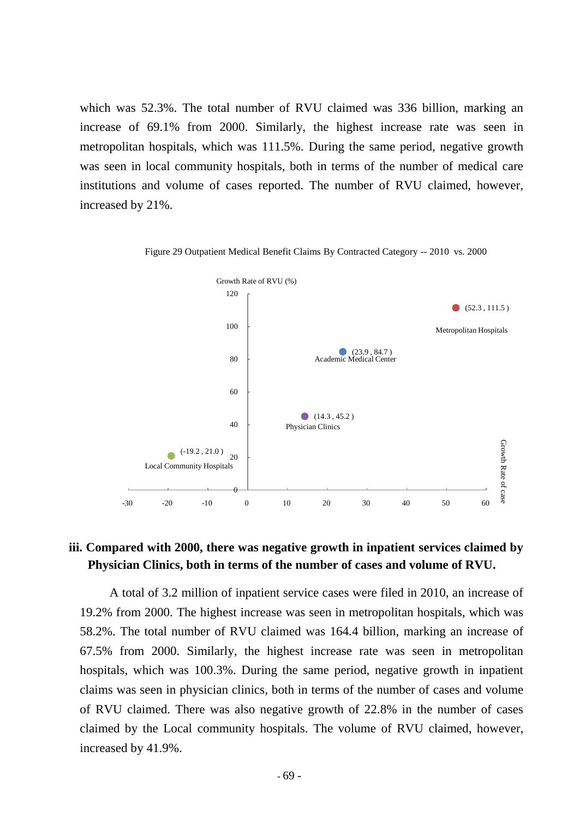which was 52.3%. The total number of RVU claimed was 336 billion, marking an increase of 69.1% from 2000. Similarly, the highest increase rate was seen in metropolitan hospitals, which was 111.5%. During the same period, negative growth was seen in local community hospitals, both in terms of the number of medical care institutions and volume of cases reported. The number of RVU claimed, however, increased by 21%.





## **iii. Compared with 2000, there was negative growth in inpatient services claimed by Physician Clinics, both in terms of the number of cases and volume of RVU.**

A total of 3.2 million of inpatient service cases were filed in 2010, an increase of 19.2% from 2000. The highest increase was seen in metropolitan hospitals, which was 58.2%. The total number of RVU claimed was 164.4 billion, marking an increase of 67.5% from 2000. Similarly, the highest increase rate was seen in metropolitan hospitals, which was 100.3%. During the same period, negative growth in inpatient claims was seen in physician clinics, both in terms of the number of cases and volume of RVU claimed. There was also negative growth of 22.8% in the number of cases claimed by the Local community hospitals. The volume of RVU claimed, however, increased by 41.9%.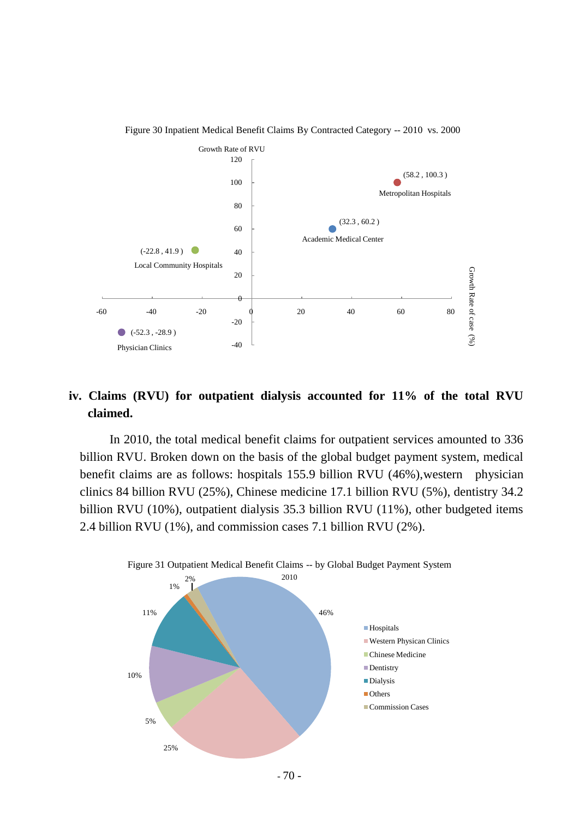

Figure 30 Inpatient Medical Benefit Claims By Contracted Category -- 2010 vs. 2000

# **iv. Claims (RVU) for outpatient dialysis accounted for 11% of the total RVU claimed.**

In 2010, the total medical benefit claims for outpatient services amounted to 336 billion RVU. Broken down on the basis of the global budget payment system, medical benefit claims are as follows: hospitals 155.9 billion RVU (46%), western physician clinics 84 billion RVU (25%), Chinese medicine 17.1 billion RVU (5%), dentistry 34.2 billion RVU (10%), outpatient dialysis 35.3 billion RVU (11%), other budgeted items 2.4 billion RVU (1%), and commission cases 7.1 billion RVU (2%).

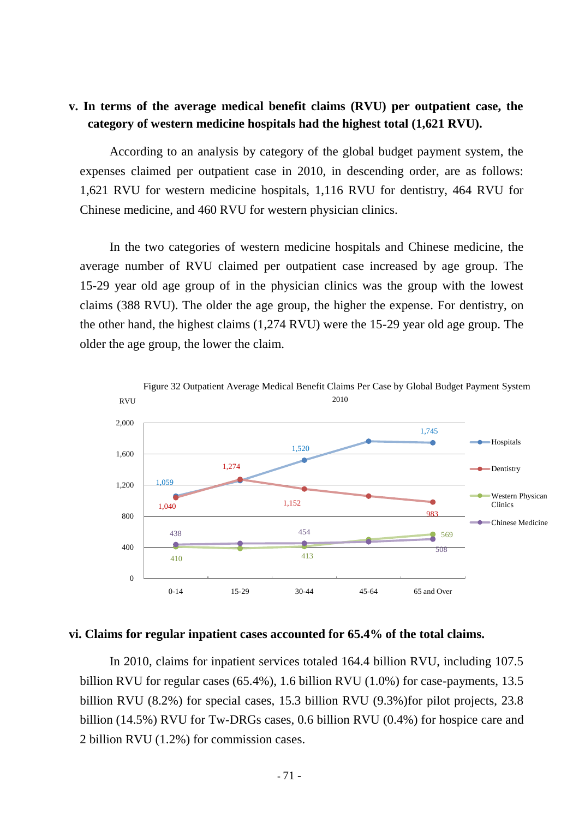## **v. In terms of the average medical benefit claims (RVU) per outpatient case, the category of western medicine hospitals had the highest total (1,621 RVU).**

According to an analysis by category of the global budget payment system, the expenses claimed per outpatient case in 2010, in descending order, are as follows: 1,621 RVU for western medicine hospitals, 1,116 RVU for dentistry, 464 RVU for Chinese medicine, and 460 RVU for western physician clinics.

In the two categories of western medicine hospitals and Chinese medicine, the average number of RVU claimed per outpatient case increased by age group. The 15-29 year old age group of in the physician clinics was the group with the lowest claims (388 RVU). The older the age group, the higher the expense. For dentistry, on the other hand, the highest claims (1,274 RVU) were the 15-29 year old age group. The older the age group, the lower the claim.



#### **vi. Claims for regular inpatient cases accounted for 65.4% of the total claims.**

In 2010, claims for inpatient services totaled 164.4 billion RVU, including 107.5 billion RVU for regular cases (65.4%), 1.6 billion RVU (1.0%) for case-payments, 13.5 billion RVU (8.2%) for special cases, 15.3 billion RVU (9.3%)for pilot projects, 23.8 billion (14.5%) RVU for Tw-DRGs cases, 0.6 billion RVU (0.4%) for hospice care and 2 billion RVU (1.2%) for commission cases.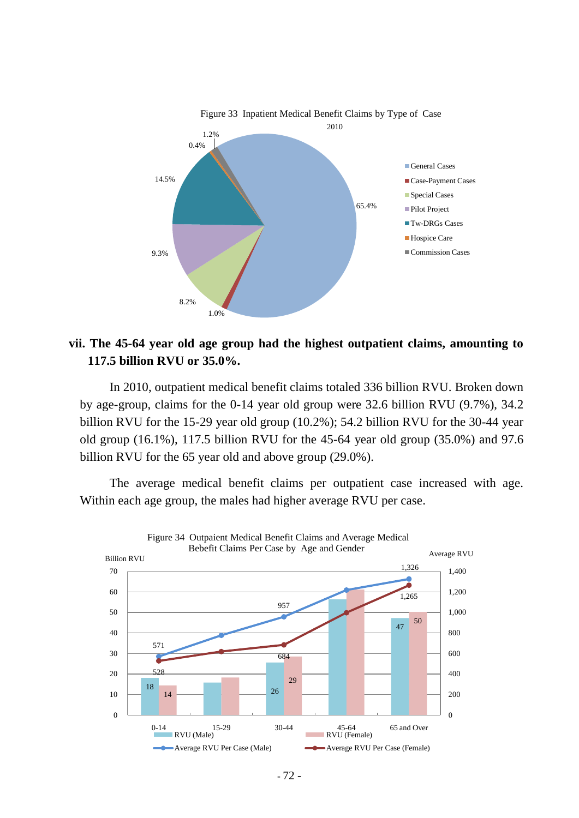

**vii. The 45-64 year old age group had the highest outpatient claims, amounting to 117.5 billion RVU or 35.0%.**

In 2010, outpatient medical benefit claims totaled 336 billion RVU. Broken down by age-group, claims for the 0-14 year old group were 32.6 billion RVU (9.7%), 34.2 billion RVU for the 15-29 year old group (10.2%); 54.2 billion RVU for the 30-44 year old group (16.1%), 117.5 billion RVU for the 45-64 year old group (35.0%) and 97.6 billion RVU for the 65 year old and above group (29.0%).

The average medical benefit claims per outpatient case increased with age. Within each age group, the males had higher average RVU per case.

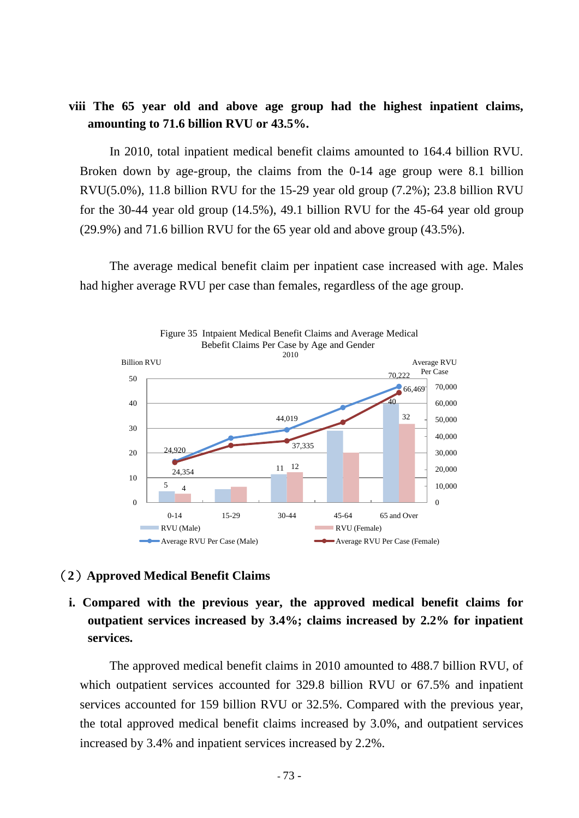## **viii The 65 year old and above age group had the highest inpatient claims, amounting to 71.6 billion RVU or 43.5%.**

In 2010, total inpatient medical benefit claims amounted to 164.4 billion RVU. Broken down by age-group, the claims from the 0-14 age group were 8.1 billion RVU(5.0%), 11.8 billion RVU for the 15-29 year old group (7.2%); 23.8 billion RVU for the 30-44 year old group (14.5%), 49.1 billion RVU for the 45-64 year old group (29.9%) and 71.6 billion RVU for the 65 year old and above group (43.5%).

The average medical benefit claim per inpatient case increased with age. Males had higher average RVU per case than females, regardless of the age group.



#### (**2**)**Approved Medical Benefit Claims**

# **i. Compared with the previous year, the approved medical benefit claims for outpatient services increased by 3.4%; claims increased by 2.2% for inpatient services.**

The approved medical benefit claims in 2010 amounted to 488.7 billion RVU, of which outpatient services accounted for 329.8 billion RVU or 67.5% and inpatient services accounted for 159 billion RVU or 32.5%. Compared with the previous year, the total approved medical benefit claims increased by 3.0%, and outpatient services increased by 3.4% and inpatient services increased by 2.2%.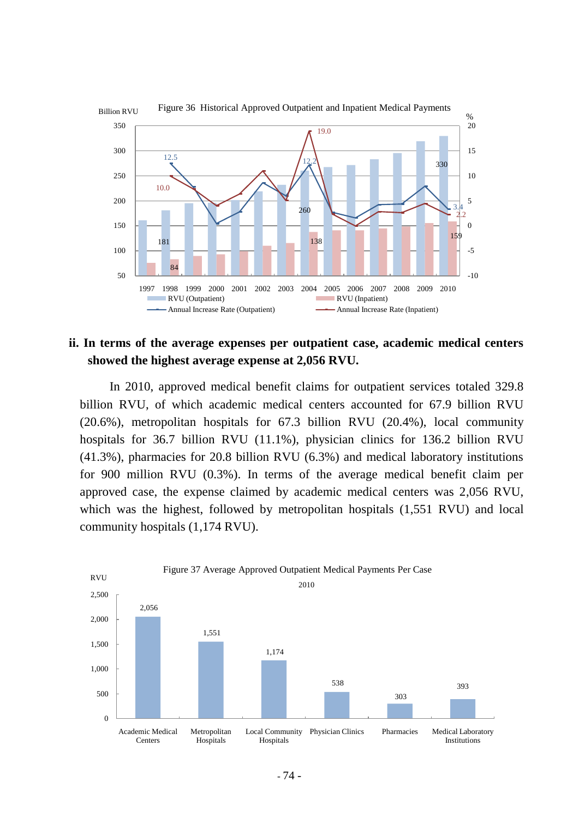

### **ii. In terms of the average expenses per outpatient case, academic medical centers showed the highest average expense at 2,056 RVU.**

In 2010, approved medical benefit claims for outpatient services totaled 329.8 billion RVU, of which academic medical centers accounted for 67.9 billion RVU (20.6%), metropolitan hospitals for 67.3 billion RVU (20.4%), local community hospitals for 36.7 billion RVU (11.1%), physician clinics for 136.2 billion RVU (41.3%), pharmacies for 20.8 billion RVU (6.3%) and medical laboratory institutions for 900 million RVU (0.3%). In terms of the average medical benefit claim per approved case, the expense claimed by academic medical centers was 2,056 RVU, which was the highest, followed by metropolitan hospitals (1,551 RVU) and local community hospitals (1,174 RVU).

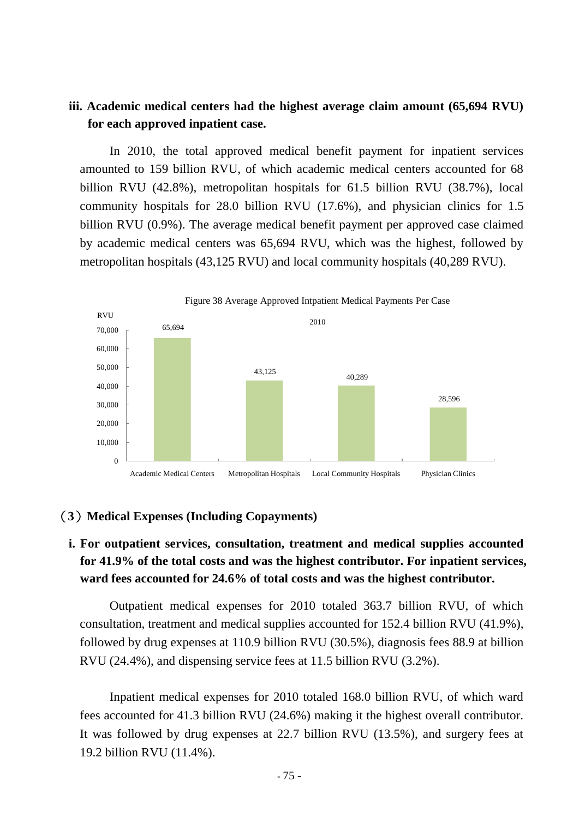## **iii. Academic medical centers had the highest average claim amount (65,694 RVU) for each approved inpatient case.**

In 2010, the total approved medical benefit payment for inpatient services amounted to 159 billion RVU, of which academic medical centers accounted for 68 billion RVU (42.8%), metropolitan hospitals for 61.5 billion RVU (38.7%), local community hospitals for 28.0 billion RVU (17.6%), and physician clinics for 1.5 billion RVU (0.9%). The average medical benefit payment per approved case claimed by academic medical centers was 65,694 RVU, which was the highest, followed by metropolitan hospitals (43,125 RVU) and local community hospitals (40,289 RVU).



#### (**3**)**Medical Expenses (Including Copayments)**

# **i. For outpatient services, consultation, treatment and medical supplies accounted for 41.9% of the total costs and was the highest contributor. For inpatient services, ward fees accounted for 24.6% of total costs and was the highest contributor.**

Outpatient medical expenses for 2010 totaled 363.7 billion RVU, of which consultation, treatment and medical supplies accounted for 152.4 billion RVU (41.9%), followed by drug expenses at 110.9 billion RVU (30.5%), diagnosis fees 88.9 at billion RVU (24.4%), and dispensing service fees at 11.5 billion RVU (3.2%).

Inpatient medical expenses for 2010 totaled 168.0 billion RVU, of which ward fees accounted for 41.3 billion RVU (24.6%) making it the highest overall contributor. It was followed by drug expenses at 22.7 billion RVU (13.5%), and surgery fees at 19.2 billion RVU (11.4%).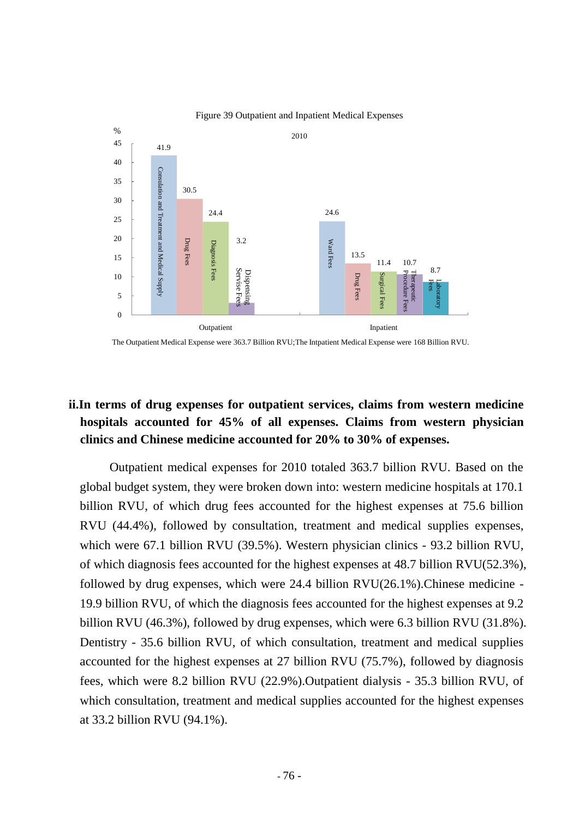

#### Figure 39 Outpatient and Inpatient Medical Expenses

The Outpatient Medical Expense were 363.7 Billion RVU;The Intpatient Medical Expense were 168 Billion RVU.

# **ii.In terms of drug expenses for outpatient services, claims from western medicine hospitals accounted for 45% of all expenses. Claims from western physician clinics and Chinese medicine accounted for 20% to 30% of expenses.**

Outpatient medical expenses for 2010 totaled 363.7 billion RVU. Based on the global budget system, they were broken down into: western medicine hospitals at 170.1 billion RVU, of which drug fees accounted for the highest expenses at 75.6 billion RVU (44.4%), followed by consultation, treatment and medical supplies expenses, which were 67.1 billion RVU (39.5%). Western physician clinics - 93.2 billion RVU, of which diagnosis fees accounted for the highest expenses at 48.7 billion RVU(52.3%), followed by drug expenses, which were 24.4 billion RVU(26.1%).Chinese medicine - 19.9 billion RVU, of which the diagnosis fees accounted for the highest expenses at 9.2 billion RVU (46.3%), followed by drug expenses, which were 6.3 billion RVU (31.8%). Dentistry - 35.6 billion RVU, of which consultation, treatment and medical supplies accounted for the highest expenses at 27 billion RVU (75.7%), followed by diagnosis fees, which were 8.2 billion RVU (22.9%).Outpatient dialysis - 35.3 billion RVU, of which consultation, treatment and medical supplies accounted for the highest expenses at 33.2 billion RVU (94.1%).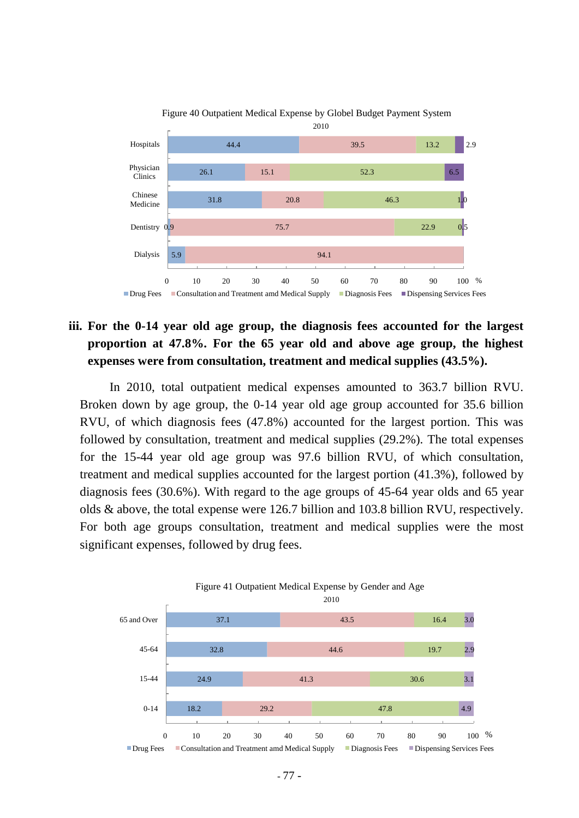

# Figure 40 Outpatient Medical Expense by Globel Budget Payment System

# **iii. For the 0-14 year old age group, the diagnosis fees accounted for the largest proportion at 47.8%. For the 65 year old and above age group, the highest expenses were from consultation, treatment and medical supplies (43.5%).**

In 2010, total outpatient medical expenses amounted to 363.7 billion RVU. Broken down by age group, the 0-14 year old age group accounted for 35.6 billion RVU, of which diagnosis fees (47.8%) accounted for the largest portion. This was followed by consultation, treatment and medical supplies (29.2%). The total expenses for the 15-44 year old age group was 97.6 billion RVU, of which consultation, treatment and medical supplies accounted for the largest portion (41.3%), followed by diagnosis fees (30.6%). With regard to the age groups of 45-64 year olds and 65 year olds & above, the total expense were 126.7 billion and 103.8 billion RVU, respectively. For both age groups consultation, treatment and medical supplies were the most significant expenses, followed by drug fees.

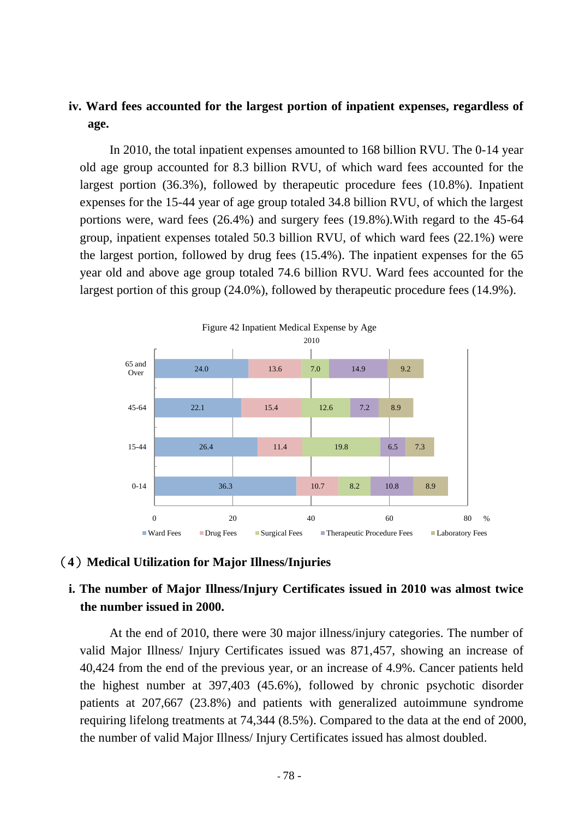## **iv. Ward fees accounted for the largest portion of inpatient expenses, regardless of age.**

In 2010, the total inpatient expenses amounted to 168 billion RVU. The 0-14 year old age group accounted for 8.3 billion RVU, of which ward fees accounted for the largest portion (36.3%), followed by therapeutic procedure fees (10.8%). Inpatient expenses for the 15-44 year of age group totaled 34.8 billion RVU, of which the largest portions were, ward fees (26.4%) and surgery fees (19.8%).With regard to the 45-64 group, inpatient expenses totaled 50.3 billion RVU, of which ward fees (22.1%) were the largest portion, followed by drug fees (15.4%). The inpatient expenses for the 65 year old and above age group totaled 74.6 billion RVU. Ward fees accounted for the largest portion of this group (24.0%), followed by therapeutic procedure fees (14.9%).



#### (**4**)**Medical Utilization for Major Illness/Injuries**

# **i. The number of Major Illness/Injury Certificates issued in 2010 was almost twice the number issued in 2000.**

At the end of 2010, there were 30 major illness/injury categories. The number of valid Major Illness/ Injury Certificates issued was 871,457, showing an increase of 40,424 from the end of the previous year, or an increase of 4.9%. Cancer patients held the highest number at 397,403 (45.6%), followed by chronic psychotic disorder patients at 207,667 (23.8%) and patients with generalized autoimmune syndrome requiring lifelong treatments at 74,344 (8.5%). Compared to the data at the end of 2000, the number of valid Major Illness/ Injury Certificates issued has almost doubled.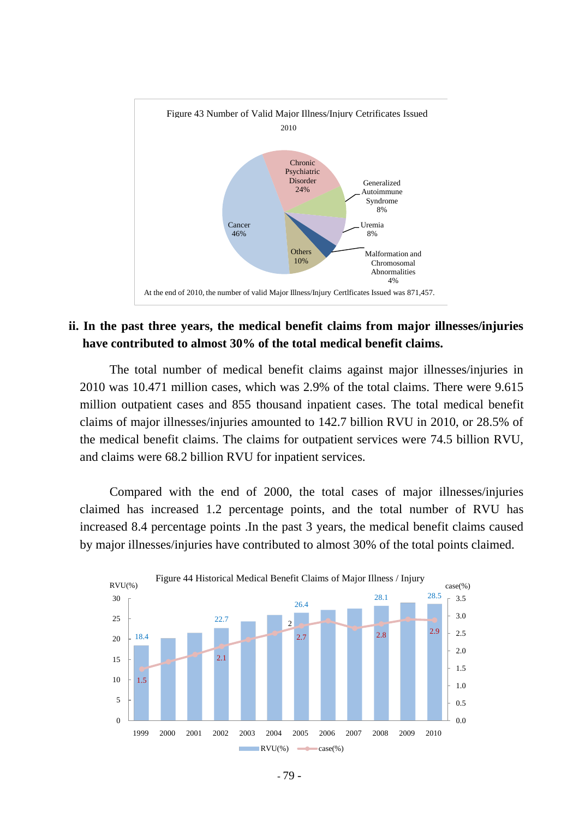

#### Figure 43 Number of Valid Major Illness/Injury Cetrificates Issued

### **ii. In the past three years, the medical benefit claims from major illnesses/injuries have contributed to almost 30% of the total medical benefit claims.**

The total number of medical benefit claims against major illnesses/injuries in 2010 was 10.471 million cases, which was 2.9% of the total claims. There were 9.615 million outpatient cases and 855 thousand inpatient cases. The total medical benefit claims of major illnesses/injuries amounted to 142.7 billion RVU in 2010, or 28.5% of the medical benefit claims. The claims for outpatient services were 74.5 billion RVU, and claims were 68.2 billion RVU for inpatient services.

Compared with the end of 2000, the total cases of major illnesses/injuries claimed has increased 1.2 percentage points, and the total number of RVU has increased 8.4 percentage points .In the past 3 years, the medical benefit claims caused by major illnesses/injuries have contributed to almost 30% of the total points claimed.



At the end of 2010, the number of valid Major Illness/Injury Certlficates Issued was 871,457.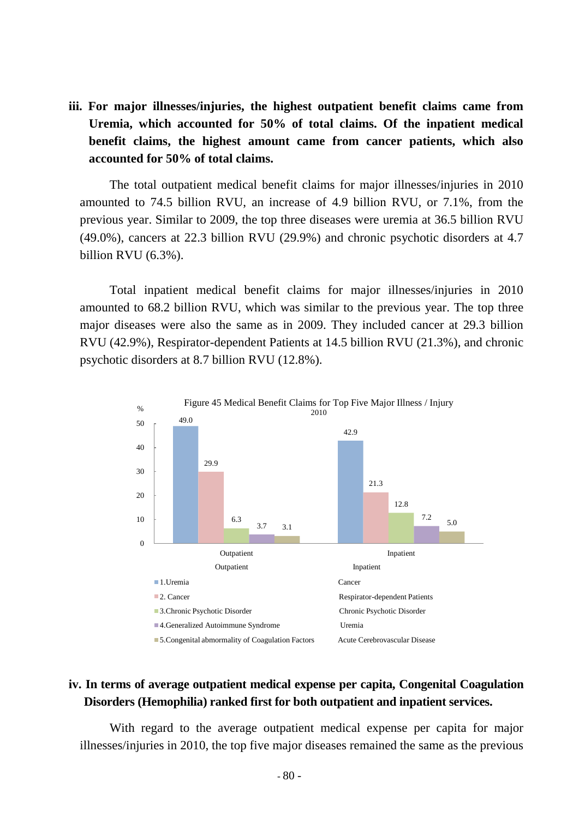**iii. For major illnesses/injuries, the highest outpatient benefit claims came from Uremia, which accounted for 50% of total claims. Of the inpatient medical benefit claims, the highest amount came from cancer patients, which also accounted for 50% of total claims.**

The total outpatient medical benefit claims for major illnesses/injuries in 2010 amounted to 74.5 billion RVU, an increase of 4.9 billion RVU, or 7.1%, from the previous year. Similar to 2009, the top three diseases were uremia at 36.5 billion RVU (49.0%), cancers at 22.3 billion RVU (29.9%) and chronic psychotic disorders at 4.7 billion RVU (6.3%).

Total inpatient medical benefit claims for major illnesses/injuries in 2010 amounted to 68.2 billion RVU, which was similar to the previous year. The top three major diseases were also the same as in 2009. They included cancer at 29.3 billion RVU (42.9%), Respirator-dependent Patients at 14.5 billion RVU (21.3%), and chronic psychotic disorders at 8.7 billion RVU (12.8%).



## **iv. In terms of average outpatient medical expense per capita, Congenital Coagulation Disorders (Hemophilia) ranked first for both outpatient and inpatient services.**

With regard to the average outpatient medical expense per capita for major illnesses/injuries in 2010, the top five major diseases remained the same as the previous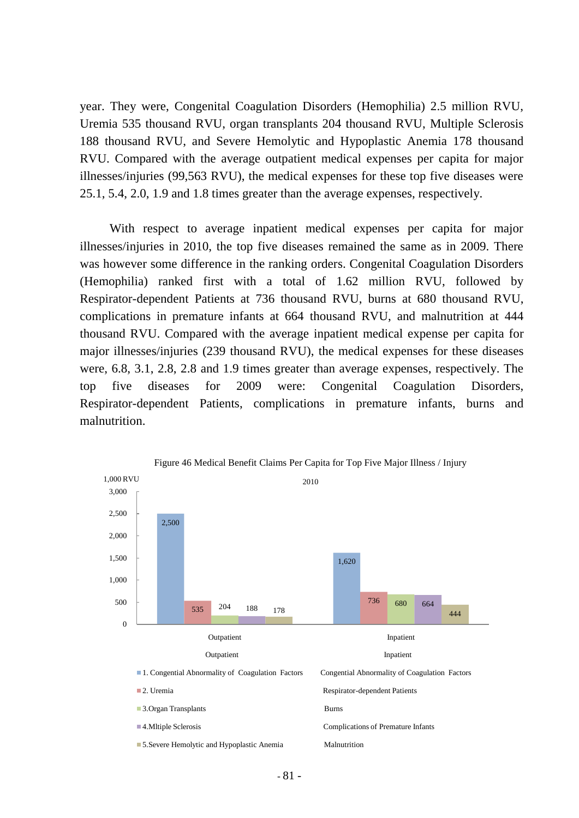year. They were, Congenital Coagulation Disorders (Hemophilia) 2.5 million RVU, Uremia 535 thousand RVU, organ transplants 204 thousand RVU, Multiple Sclerosis 188 thousand RVU, and Severe Hemolytic and Hypoplastic Anemia 178 thousand RVU. Compared with the average outpatient medical expenses per capita for major illnesses/injuries (99,563 RVU), the medical expenses for these top five diseases were 25.1, 5.4, 2.0, 1.9 and 1.8 times greater than the average expenses, respectively.

With respect to average inpatient medical expenses per capita for major illnesses/injuries in 2010, the top five diseases remained the same as in 2009. There was however some difference in the ranking orders. Congenital Coagulation Disorders (Hemophilia) ranked first with a total of 1.62 million RVU, followed by Respirator-dependent Patients at 736 thousand RVU, burns at 680 thousand RVU, complications in premature infants at 664 thousand RVU, and malnutrition at 444 thousand RVU. Compared with the average inpatient medical expense per capita for major illnesses/injuries (239 thousand RVU), the medical expenses for these diseases were, 6.8, 3.1, 2.8, 2.8 and 1.9 times greater than average expenses, respectively. The top five diseases for 2009 were: Congenital Coagulation Disorders, Respirator-dependent Patients, complications in premature infants, burns and malnutrition.



Figure 46 Medical Benefit Claims Per Capita for Top Five Major Illness / Injury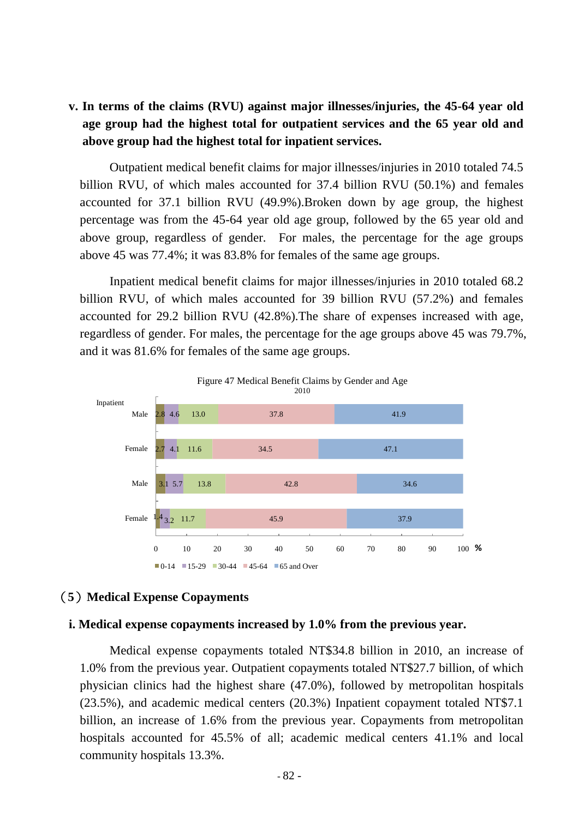# **v. In terms of the claims (RVU) against major illnesses/injuries, the 45-64 year old age group had the highest total for outpatient services and the 65 year old and above group had the highest total for inpatient services.**

Outpatient medical benefit claims for major illnesses/injuries in 2010 totaled 74.5 billion RVU, of which males accounted for 37.4 billion RVU (50.1%) and females accounted for 37.1 billion RVU (49.9%).Broken down by age group, the highest percentage was from the 45-64 year old age group, followed by the 65 year old and above group, regardless of gender. For males, the percentage for the age groups above 45 was 77.4%; it was 83.8% for females of the same age groups.

Inpatient medical benefit claims for major illnesses/injuries in 2010 totaled 68.2 billion RVU, of which males accounted for 39 billion RVU (57.2%) and females accounted for 29.2 billion RVU (42.8%).The share of expenses increased with age, regardless of gender. For males, the percentage for the age groups above 45 was 79.7%, and it was 81.6% for females of the same age groups.



#### (**5**)**Medical Expense Copayments**

#### **i. Medical expense copayments increased by 1.0% from the previous year.**

Medical expense copayments totaled NT\$34.8 billion in 2010, an increase of 1.0% from the previous year. Outpatient copayments totaled NT\$27.7 billion, of which physician clinics had the highest share (47.0%), followed by metropolitan hospitals (23.5%), and academic medical centers (20.3%) Inpatient copayment totaled NT\$7.1 billion, an increase of 1.6% from the previous year. Copayments from metropolitan hospitals accounted for 45.5% of all; academic medical centers 41.1% and local community hospitals 13.3%.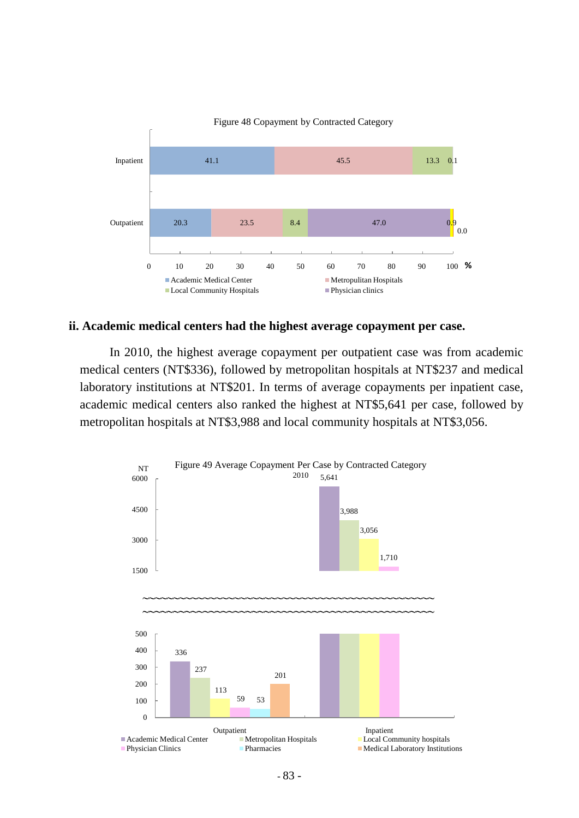

#### **ii. Academic medical centers had the highest average copayment per case.**

In 2010, the highest average copayment per outpatient case was from academic medical centers (NT\$336), followed by metropolitan hospitals at NT\$237 and medical laboratory institutions at NT\$201. In terms of average copayments per inpatient case, academic medical centers also ranked the highest at NT\$5,641 per case, followed by metropolitan hospitals at NT\$3,988 and local community hospitals at NT\$3,056.

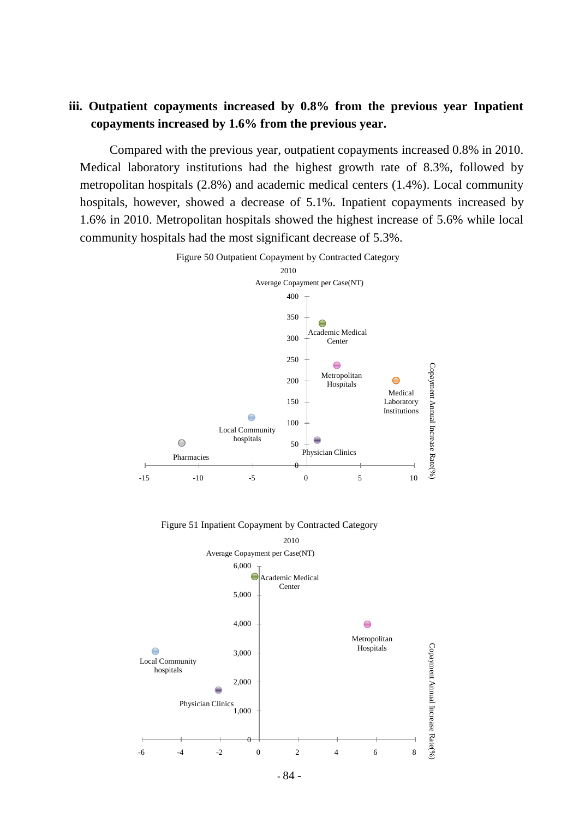## **iii. Outpatient copayments increased by 0.8% from the previous year Inpatient copayments increased by 1.6% from the previous year.**

Compared with the previous year, outpatient copayments increased 0.8% in 2010. Medical laboratory institutions had the highest growth rate of 8.3%, followed by metropolitan hospitals (2.8%) and academic medical centers (1.4%). Local community hospitals, however, showed a decrease of 5.1%. Inpatient copayments increased by 1.6% in 2010. Metropolitan hospitals showed the highest increase of 5.6% while local community hospitals had the most significant decrease of 5.3%.



Figure 50 Outpatient Copayment by Contracted Category

Figure 51 Inpatient Copayment by Contracted Category



- 84 -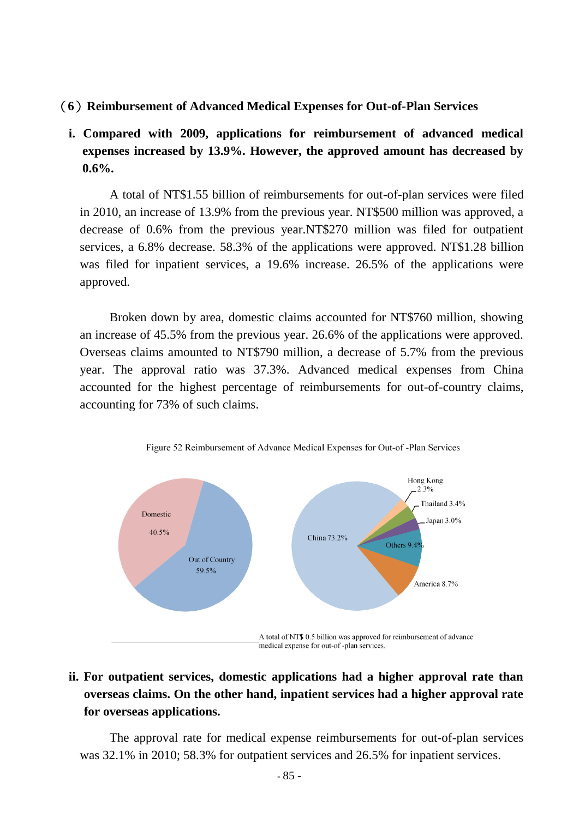#### (**6**)**Reimbursement of Advanced Medical Expenses for Out-of-Plan Services**

# **i. Compared with 2009, applications for reimbursement of advanced medical expenses increased by 13.9%. However, the approved amount has decreased by 0.6%.**

A total of NT\$1.55 billion of reimbursements for out-of-plan services were filed in 2010, an increase of 13.9% from the previous year. NT\$500 million was approved, a decrease of 0.6% from the previous year.NT\$270 million was filed for outpatient services, a 6.8% decrease. 58.3% of the applications were approved. NT\$1.28 billion was filed for inpatient services, a 19.6% increase. 26.5% of the applications were approved.

Broken down by area, domestic claims accounted for NT\$760 million, showing an increase of 45.5% from the previous year. 26.6% of the applications were approved. Overseas claims amounted to NT\$790 million, a decrease of 5.7% from the previous year. The approval ratio was 37.3%. Advanced medical expenses from China accounted for the highest percentage of reimbursements for out-of-country claims, accounting for 73% of such claims.





medical expense for out-of-plan services.

# **ii. For outpatient services, domestic applications had a higher approval rate than overseas claims. On the other hand, inpatient services had a higher approval rate for overseas applications.**

The approval rate for medical expense reimbursements for out-of-plan services was 32.1% in 2010; 58.3% for outpatient services and 26.5% for inpatient services.